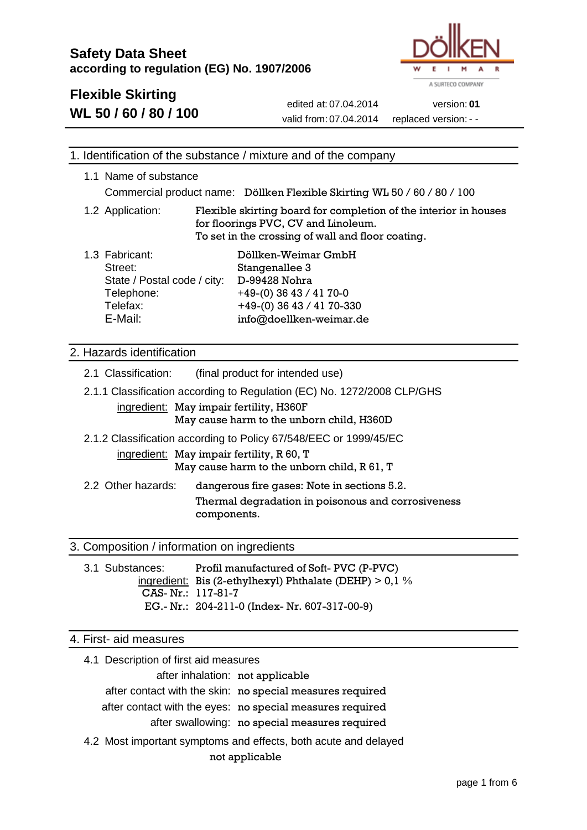

# **Flexible Skirting**

**WL 50 / 60 / 80 / 100**

[edited](http://dict.tu-chemnitz.de/english-german/edited.html) at: 07.04.2014 version: **01** [valid](http://dict.tu-chemnitz.de/english-german/valid.html) from: 07.04.2014 [replaced](http://dict.tu-chemnitz.de/english-german/replaced.html) version: - -

| 1. Identification of the substance / mixture and of the company                                                                                                 |                                                                |                                                                                                                                                              |  |
|-----------------------------------------------------------------------------------------------------------------------------------------------------------------|----------------------------------------------------------------|--------------------------------------------------------------------------------------------------------------------------------------------------------------|--|
| 1.1 Name of substance                                                                                                                                           |                                                                | Commercial product name: Döllken Flexible Skirting WL 50 / 60 / 80 / 100                                                                                     |  |
| 1.2 Application:                                                                                                                                                |                                                                | Flexible skirting board for completion of the interior in houses<br>for floorings PVC, CV and Linoleum.<br>To set in the crossing of wall and floor coating. |  |
| 1.3 Fabricant:<br>Street:<br>Telephone:<br>Telefax:<br>E-Mail:                                                                                                  | Stangenallee 3<br>D-99428 Nohra<br>State / Postal code / city: | Döllken-Weimar GmbH<br>$+49-(0)$ 36 43 / 41 70-0<br>+49-(0) 36 43 / 41 70-330<br>info@doellken-weimar.de                                                     |  |
| 2. Hazards identification                                                                                                                                       |                                                                |                                                                                                                                                              |  |
| 2.1 Classification:                                                                                                                                             | (final product for intended use)                               |                                                                                                                                                              |  |
| 2.1.1 Classification according to Regulation (EC) No. 1272/2008 CLP/GHS<br>ingredient: May impair fertility, H360F<br>May cause harm to the unborn child, H360D |                                                                |                                                                                                                                                              |  |
|                                                                                                                                                                 |                                                                |                                                                                                                                                              |  |
|                                                                                                                                                                 |                                                                | 2.1.2 Classification according to Policy 67/548/EEC or 1999/45/EC                                                                                            |  |
|                                                                                                                                                                 | ingredient: May impair fertility, R 60, T                      | May cause harm to the unborn child, R 61, T                                                                                                                  |  |
| 2.2 Other hazards:                                                                                                                                              |                                                                | dangerous fire gases: Note in sections 5.2.                                                                                                                  |  |
|                                                                                                                                                                 | components.                                                    | Thermal degradation in poisonous and corrosiveness                                                                                                           |  |

# 3. Composition / information on ingredients

| 3.1 Substances:   | Profil manufactured of Soft-PVC (P-PVC)                   |
|-------------------|-----------------------------------------------------------|
|                   | ingredient: Bis (2-ethylhexyl) Phthalate (DEHP) $> 0.1$ % |
| CAS-Nr.: 117-81-7 |                                                           |
|                   | EG.- Nr.: 204-211-0 (Index- Nr. 607-317-00-9)             |

#### 4. First- aid measures

| 4.1 Description of first aid measures                           |  |  |
|-----------------------------------------------------------------|--|--|
| after inhalation: not applicable                                |  |  |
| after contact with the skin: no special measures required       |  |  |
| after contact with the eyes: no special measures required       |  |  |
| after swallowing: no special measures required                  |  |  |
| 4.2 Most important symptoms and effects, both acute and delayed |  |  |
| not applicable                                                  |  |  |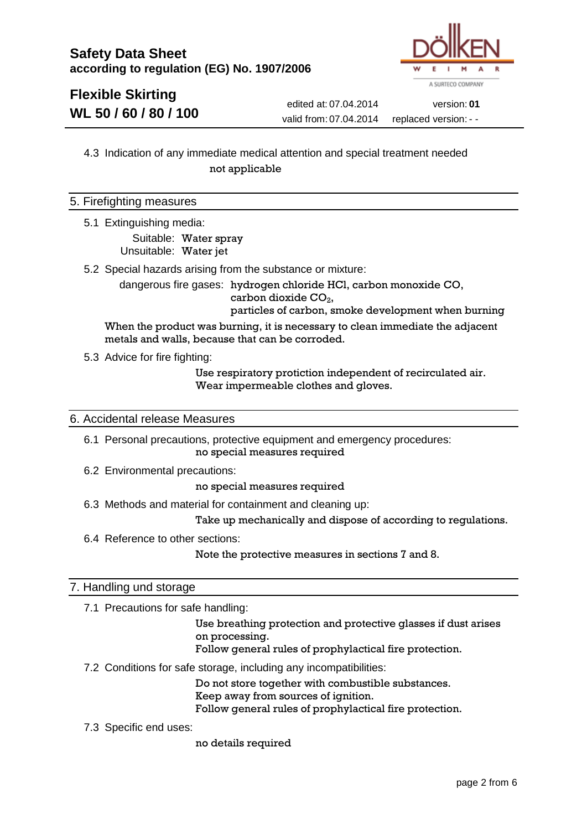

# **Flexible Skirting WL 50 / 60 / 80 / 100**

[edited](http://dict.tu-chemnitz.de/english-german/edited.html) at: 07.04.2014 version: **01** [valid](http://dict.tu-chemnitz.de/english-german/valid.html) from: 07.04.2014 [replaced](http://dict.tu-chemnitz.de/english-german/replaced.html) version: - -

### 4.3 Indication of any immediate medical attention and special treatment needed [not](http://dict.tu-chemnitz.de/english-german/not.html) [applicable](http://dict.tu-chemnitz.de/english-german/applicable.html)

#### 5. Firefighting measures

5.1 Extinguishing media:

Suitable: Water spray Unsuitable: Water jet

5.2 Special hazards arising from the substance or mixture:

dangerous fire gases: hydrogen chloride HCl, carbon monoxide CO, carbon dioxide  $CO<sub>2</sub>$ ,

particles of carbon, smoke development when burning

When the product was burning, it is necessary to clean immediate the adjacent metals and walls, because that can be corroded.

5.3 Advice for fire fighting:

Use respiratory protiction independent of recirculated air. Wear impermeable clothes and gloves.

#### 6. Accidental release Measures

6.1 Personal precautions, protective equipment and emergency procedures: no special measures required

6.2 Environmental precautions:

no special measures required

6.3 Methods and material for containment and cleaning up:

Take up mechanically and dispose of according to regulations.

6.4 Reference to other sections:

Note the [protective](http://dict.tu-chemnitz.de/english-german/protective.html) [measures](http://dict.tu-chemnitz.de/english-german/measures.html) in [sections](http://dict.tu-chemnitz.de/english-german/section.html) 7 and 8.

#### 7. Handling und storage

7.1 Precautions for safe handling:

Use breathing protection and protective glasses if dust arises on processing.

Follow general rules of prophylactical fire protection.

7.2 Conditions for safe storage, including any incompatibilities:

Do not store together with combustible substances.

[Keep](http://dict.tu-chemnitz.de/english-german/Keep.html) [away](http://dict.tu-chemnitz.de/english-german/away.html) [from](http://dict.tu-chemnitz.de/english-german/from.html) [sources](http://dict.tu-chemnitz.de/english-german/sources.html) [of](http://dict.tu-chemnitz.de/english-german/of.html) [ignition.](http://dict.tu-chemnitz.de/english-german/ignition.html)

Follow general rules of prophylactical fire protection.

7.3 Specific end uses:

no [details](http://dict.tu-chemnitz.de/english-german/details.html) required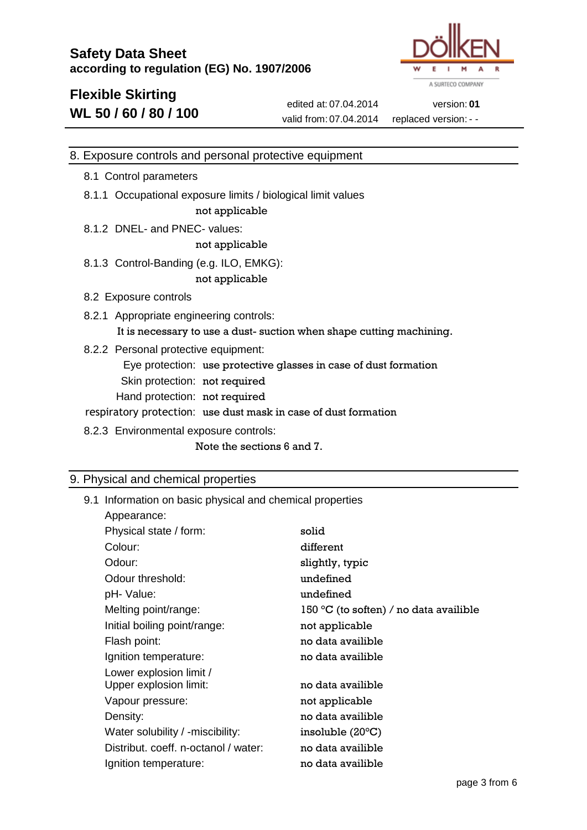

# **Flexible Skirting WL 50 / 60 / 80 / 100**

[edited](http://dict.tu-chemnitz.de/english-german/edited.html) at: 07.04.2014 version: **01** [valid](http://dict.tu-chemnitz.de/english-german/valid.html) from: 07.04.2014 [replaced](http://dict.tu-chemnitz.de/english-german/replaced.html) version: - -

#### 8. Exposure controls and personal protective equipment

- 8.1 Control parameters
- 8.1.1 Occupational exposure limits / biological limit values [not](http://dict.tu-chemnitz.de/english-german/not.html) [applicable](http://dict.tu-chemnitz.de/english-german/applicable.html)
- 8.1.2 DNEL- and PNEC- values:

#### [not](http://dict.tu-chemnitz.de/english-german/not.html) [applicable](http://dict.tu-chemnitz.de/english-german/applicable.html)

- 8.1.3 Control-Banding (e.g. ILO, EMKG): [not](http://dict.tu-chemnitz.de/english-german/not.html) [applicable](http://dict.tu-chemnitz.de/english-german/applicable.html)
- 8.2 Exposure controls
- 8.2.1 Appropriate engineering controls:

It is [necessary](http://dict.tu-chemnitz.de/english-german/necessary.html) to use a dust- [suction](http://dict.tu-chemnitz.de/english-german/suction.html) when shape cutting [machining.](http://dict.tu-chemnitz.de/english-german/machining.html)

8.2.2 Personal protective equipment:

Eye protection: use protective glasses in case of dust formation

- Skin protection: not required
- Hand protection: not required

[respiratory](http://dict.tu-chemnitz.de/english-german/respiratory.html) [protection](http://dict.tu-chemnitz.de/english-german/protection.html): use dust mask in case of dust formation

8.2.3 Environmental exposure controls:

Note the [sections](http://dict.tu-chemnitz.de/english-german/section.html) 6 and 7.

#### 9. Physical and chemical properties

9.1 Information on basic physical and chemical properties

| Appearance:                          |                                                          |
|--------------------------------------|----------------------------------------------------------|
| Physical state / form:               | solid                                                    |
| Colour:                              | different                                                |
| Odour:                               | slightly, typic                                          |
| Odour threshold:                     | undefined                                                |
| pH- Value:                           | undefined                                                |
| Melting point/range:                 | 150 $\mathrm{^{\circ}C}$ (to soften) / no data availible |
| Initial boiling point/range:         | not applicable                                           |
| Flash point:                         | no data availible                                        |
| Ignition temperature:                | no data availible                                        |
| Lower explosion limit /              |                                                          |
| Upper explosion limit:               | no data availible                                        |
| Vapour pressure:                     | not applicable                                           |
| Density:                             | no data availible                                        |
| Water solubility / -miscibility:     | insoluble $(20^{\circ}C)$                                |
| Distribut. coeff. n-octanol / water: | no data availible                                        |
| Ignition temperature:                | no data availible                                        |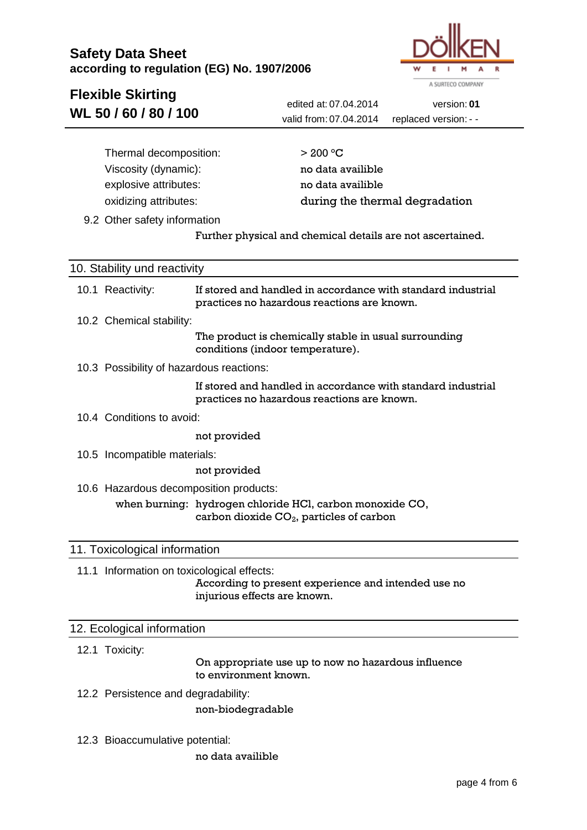

| <b>Flexible Skirting</b>                   |                                                                                                                  |
|--------------------------------------------|------------------------------------------------------------------------------------------------------------------|
| WL 50 / 60 / 80 / 100                      | edited at: 07.04.2014<br>version: 01                                                                             |
|                                            | valid from: 07.04.2014<br>replaced version: - -                                                                  |
|                                            |                                                                                                                  |
| Thermal decomposition:                     | $>$ 200 °C                                                                                                       |
| Viscosity (dynamic):                       | no data availible                                                                                                |
| explosive attributes:                      | no data availible                                                                                                |
| oxidizing attributes:                      | during the thermal degradation                                                                                   |
| 9.2 Other safety information               |                                                                                                                  |
|                                            | Further physical and chemical details are not ascertained.                                                       |
|                                            |                                                                                                                  |
| 10. Stability und reactivity               |                                                                                                                  |
| 10.1 Reactivity:                           | If stored and handled in accordance with standard industrial<br>practices no hazardous reactions are known.      |
| 10.2 Chemical stability:                   |                                                                                                                  |
|                                            | The product is chemically stable in usual surrounding<br>conditions (indoor temperature).                        |
| 10.3 Possibility of hazardous reactions:   |                                                                                                                  |
|                                            | If stored and handled in accordance with standard industrial<br>practices no hazardous reactions are known.      |
| 10.4 Conditions to avoid:                  |                                                                                                                  |
|                                            | not provided                                                                                                     |
| 10.5 Incompatible materials:               |                                                                                                                  |
|                                            | not provided                                                                                                     |
| 10.6 Hazardous decomposition products:     |                                                                                                                  |
|                                            | when burning: hydrogen chloride HCl, carbon monoxide CO,<br>carbon dioxide CO <sub>2</sub> , particles of carbon |
| 11. Toxicological information              |                                                                                                                  |
| 11.1 Information on toxicological effects: | According to present experience and intended use no<br>injurious effects are known.                              |
| 12. Ecological information                 |                                                                                                                  |

12.1 Toxicity:

On appropriate use up to now no hazardous influence to environment known.

12.2 Persistence and degradability:

[non-biodegradable](http://dict.tu-chemnitz.de/english-german/non-biodegradable.html)

12.3 Bioaccumulative potential:

no data availible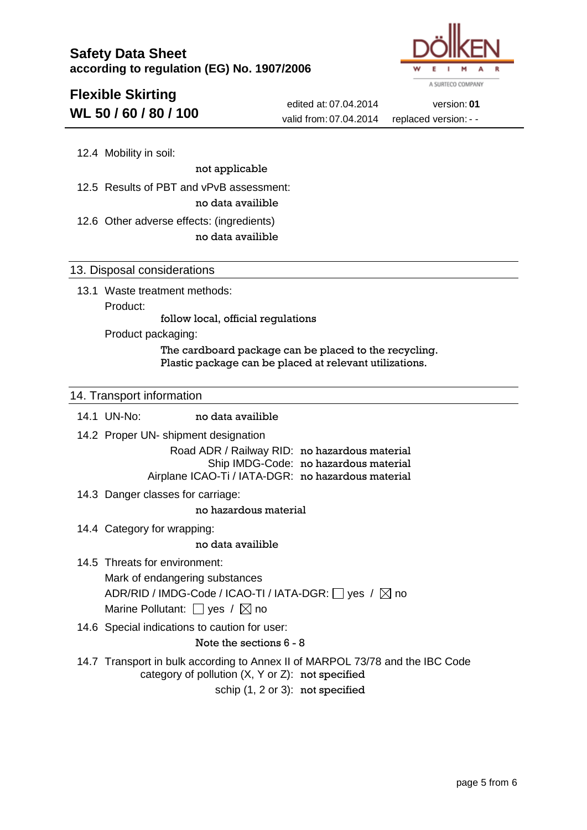

# **Flexible Skirting WL 50 / 60 / 80 / 100**

[edited](http://dict.tu-chemnitz.de/english-german/edited.html) at: 07.04.2014 version: **01** [valid](http://dict.tu-chemnitz.de/english-german/valid.html) from: 07.04.2014 [replaced](http://dict.tu-chemnitz.de/english-german/replaced.html) version: - -

12.4 Mobility in soil:

[not](http://dict.tu-chemnitz.de/english-german/not.html) [applicable](http://dict.tu-chemnitz.de/english-german/applicable.html)

12.5 Results of PBT and vPvB assessment:

no data availible

12.6 Other adverse effects: (ingredients)

no data availible

#### 13. Disposal considerations

13.1 Waste treatment methods: Product:

follow local, official regulations

Product packaging:

The cardboard package can be placed to the recycling. [Plastic](http://dict.tu-chemnitz.de/english-german/plastic.html) [package](http://dict.tu-chemnitz.de/english-german/package.html) can be placed at [relevant](http://dict.tu-chemnitz.de/english-german/relevant.html) [utilizations.](http://dict.tu-chemnitz.de/english-german/utilizations.html)

#### 14. Transport information

14.1 UN-No: no data availible 14.2 [Proper](http://dict.tu-chemnitz.de/english-german/proper.html) UN- [shipment](http://dict.tu-chemnitz.de/english-german/shipment.html) [designation](http://dict.tu-chemnitz.de/english-german/designation.html) Road ADR / Railway RID: no [hazardous](http://dict.tu-chemnitz.de/english-german/hazardous.html) [material](http://dict.tu-chemnitz.de/english-german/materials.html) Ship IMDG-Code: no [hazardous](http://dict.tu-chemnitz.de/english-german/hazardous.html) [material](http://dict.tu-chemnitz.de/english-german/materials.html) Airplane ICAO-Ti / IATA-DGR: no [hazardous](http://dict.tu-chemnitz.de/english-german/hazardous.html) [material](http://dict.tu-chemnitz.de/english-german/materials.html) 14.3 [Danger](http://dict.tu-chemnitz.de/english-german/danger.html) [classes](http://dict.tu-chemnitz.de/english-german/classes.html) for [carriage:](http://dict.tu-chemnitz.de/english-german/carriage.html) no [hazardous](http://dict.tu-chemnitz.de/english-german/hazardous.html) [material](http://dict.tu-chemnitz.de/english-german/materials.html) 14.4 [Category](http://dict.tu-chemnitz.de/english-german/category.html) for [wrapping:](http://dict.tu-chemnitz.de/english-german/wrapping.html) no data availible 14.5 [Threats](http://dict.tu-chemnitz.de/english-german/threats.html) for environment: [Mark](http://dict.tu-chemnitz.de/english-german/mark.html) of [endangering](http://dict.tu-chemnitz.de/english-german/endangering.html) [substances](http://dict.tu-chemnitz.de/english-german/substances.html) ADR/RID / IMDG-Code / ICAO-TI / IATA-DGR:  $\Box$  yes /  $\boxtimes$  no Marine Pollutant:  $\Box$  yes /  $\boxtimes$  no 14.6 Special indications to [caution](http://dict.tu-chemnitz.de/english-german/caution.html) for [user:](http://dict.tu-chemnitz.de/english-german/user.html) Note the [sections](http://dict.tu-chemnitz.de/english-german/section.html) 6 - 8 14.7 Transport in bulk according to Annex II of MARPOL 73/78 and the IBC Code [category](http://dict.tu-chemnitz.de/english-german/category.html) of [pollution](http://dict.tu-chemnitz.de/english-german/pollution.html) (X, Y or Z): not [specified](http://dict.tu-chemnitz.de/english-german/specified.html) schip (1, 2 or 3): not [specified](http://dict.tu-chemnitz.de/english-german/specified.html)